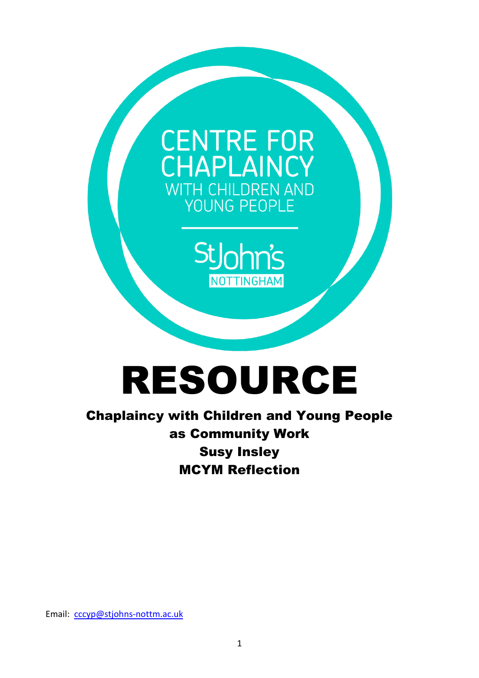

## RESOURCE

Chaplaincy with Children and Young People as Community Work Susy Insley MCYM Reflection

Email: [cccyp@stjohns-nottm.ac.uk](mailto:cccyp@stjohns-nottm.ac.uk)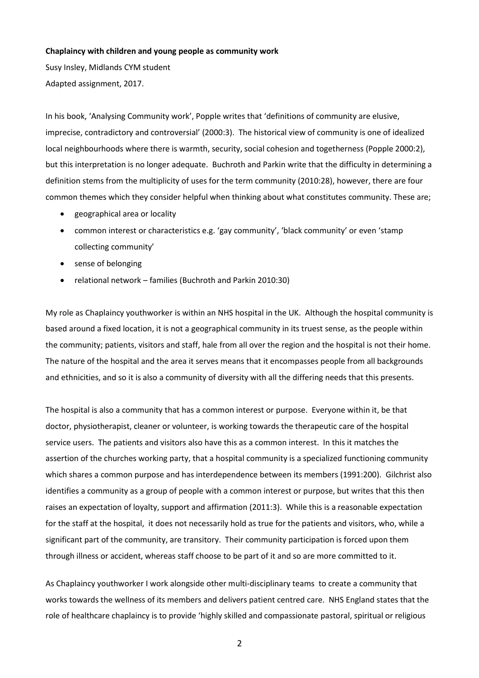## **Chaplaincy with children and young people as community work**

Susy Insley, Midlands CYM student Adapted assignment, 2017.

In his book, 'Analysing Community work', Popple writes that 'definitions of community are elusive, imprecise, contradictory and controversial' (2000:3). The historical view of community is one of idealized local neighbourhoods where there is warmth, security, social cohesion and togetherness (Popple 2000:2), but this interpretation is no longer adequate. Buchroth and Parkin write that the difficulty in determining a definition stems from the multiplicity of uses for the term community (2010:28), however, there are four common themes which they consider helpful when thinking about what constitutes community. These are;

- geographical area or locality
- common interest or characteristics e.g. 'gay community', 'black community' or even 'stamp collecting community'
- sense of belonging
- relational network families (Buchroth and Parkin 2010:30)

My role as Chaplaincy youthworker is within an NHS hospital in the UK. Although the hospital community is based around a fixed location, it is not a geographical community in its truest sense, as the people within the community; patients, visitors and staff, hale from all over the region and the hospital is not their home. The nature of the hospital and the area it serves means that it encompasses people from all backgrounds and ethnicities, and so it is also a community of diversity with all the differing needs that this presents.

The hospital is also a community that has a common interest or purpose. Everyone within it, be that doctor, physiotherapist, cleaner or volunteer, is working towards the therapeutic care of the hospital service users. The patients and visitors also have this as a common interest. In this it matches the assertion of the churches working party, that a hospital community is a specialized functioning community which shares a common purpose and has interdependence between its members (1991:200). Gilchrist also identifies a community as a group of people with a common interest or purpose, but writes that this then raises an expectation of loyalty, support and affirmation (2011:3). While this is a reasonable expectation for the staff at the hospital, it does not necessarily hold as true for the patients and visitors, who, while a significant part of the community, are transitory. Their community participation is forced upon them through illness or accident, whereas staff choose to be part of it and so are more committed to it.

As Chaplaincy youthworker I work alongside other multi-disciplinary teams to create a community that works towards the wellness of its members and delivers patient centred care. NHS England states that the role of healthcare chaplaincy is to provide 'highly skilled and compassionate pastoral, spiritual or religious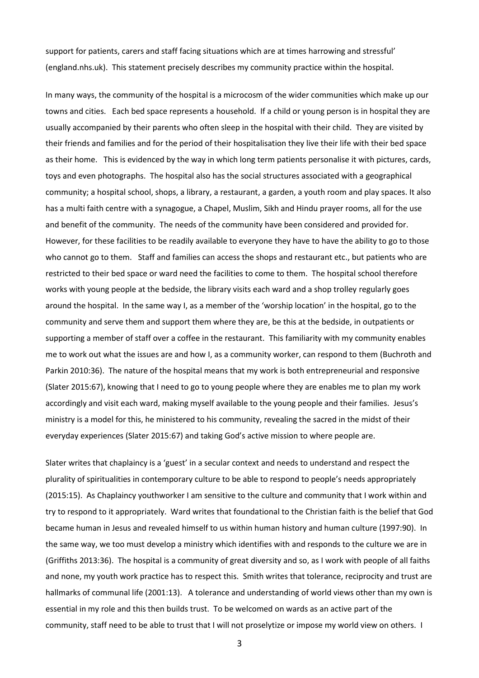support for patients, carers and staff facing situations which are at times harrowing and stressful' (england.nhs.uk). This statement precisely describes my community practice within the hospital.

In many ways, the community of the hospital is a microcosm of the wider communities which make up our towns and cities. Each bed space represents a household. If a child or young person is in hospital they are usually accompanied by their parents who often sleep in the hospital with their child. They are visited by their friends and families and for the period of their hospitalisation they live their life with their bed space as their home. This is evidenced by the way in which long term patients personalise it with pictures, cards, toys and even photographs. The hospital also has the social structures associated with a geographical community; a hospital school, shops, a library, a restaurant, a garden, a youth room and play spaces. It also has a multi faith centre with a synagogue, a Chapel, Muslim, Sikh and Hindu prayer rooms, all for the use and benefit of the community. The needs of the community have been considered and provided for. However, for these facilities to be readily available to everyone they have to have the ability to go to those who cannot go to them. Staff and families can access the shops and restaurant etc., but patients who are restricted to their bed space or ward need the facilities to come to them. The hospital school therefore works with young people at the bedside, the library visits each ward and a shop trolley regularly goes around the hospital. In the same way I, as a member of the 'worship location' in the hospital, go to the community and serve them and support them where they are, be this at the bedside, in outpatients or supporting a member of staff over a coffee in the restaurant. This familiarity with my community enables me to work out what the issues are and how I, as a community worker, can respond to them (Buchroth and Parkin 2010:36). The nature of the hospital means that my work is both entrepreneurial and responsive (Slater 2015:67), knowing that I need to go to young people where they are enables me to plan my work accordingly and visit each ward, making myself available to the young people and their families. Jesus's ministry is a model for this, he ministered to his community, revealing the sacred in the midst of their everyday experiences (Slater 2015:67) and taking God's active mission to where people are.

Slater writes that chaplaincy is a 'guest' in a secular context and needs to understand and respect the plurality of spiritualities in contemporary culture to be able to respond to people's needs appropriately (2015:15). As Chaplaincy youthworker I am sensitive to the culture and community that I work within and try to respond to it appropriately. Ward writes that foundational to the Christian faith is the belief that God became human in Jesus and revealed himself to us within human history and human culture (1997:90). In the same way, we too must develop a ministry which identifies with and responds to the culture we are in (Griffiths 2013:36). The hospital is a community of great diversity and so, as I work with people of all faiths and none, my youth work practice has to respect this. Smith writes that tolerance, reciprocity and trust are hallmarks of communal life (2001:13). A tolerance and understanding of world views other than my own is essential in my role and this then builds trust. To be welcomed on wards as an active part of the community, staff need to be able to trust that I will not proselytize or impose my world view on others. I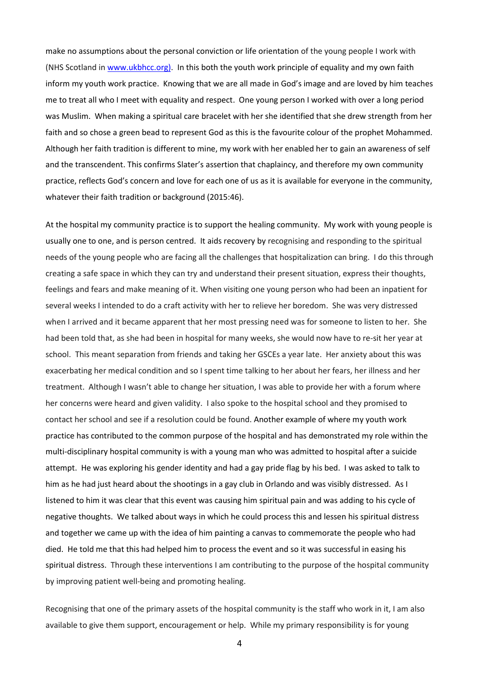make no assumptions about the personal conviction or life orientation of the young people I work with (NHS Scotland in [www.ukbhcc.org\).](http://www.ukbhcc.org)/) In this both the youth work principle of equality and my own faith inform my youth work practice. Knowing that we are all made in God's image and are loved by him teaches me to treat all who I meet with equality and respect. One young person I worked with over a long period was Muslim. When making a spiritual care bracelet with her she identified that she drew strength from her faith and so chose a green bead to represent God as this is the favourite colour of the prophet Mohammed. Although her faith tradition is different to mine, my work with her enabled her to gain an awareness of self and the transcendent. This confirms Slater's assertion that chaplaincy, and therefore my own community practice, reflects God's concern and love for each one of us as it is available for everyone in the community, whatever their faith tradition or background (2015:46).

At the hospital my community practice is to support the healing community. My work with young people is usually one to one, and is person centred. It aids recovery by recognising and responding to the spiritual needs of the young people who are facing all the challenges that hospitalization can bring. I do this through creating a safe space in which they can try and understand their present situation, express their thoughts, feelings and fears and make meaning of it. When visiting one young person who had been an inpatient for several weeks I intended to do a craft activity with her to relieve her boredom. She was very distressed when I arrived and it became apparent that her most pressing need was for someone to listen to her. She had been told that, as she had been in hospital for many weeks, she would now have to re-sit her year at school. This meant separation from friends and taking her GSCEs a year late. Her anxiety about this was exacerbating her medical condition and so I spent time talking to her about her fears, her illness and her treatment. Although I wasn't able to change her situation, I was able to provide her with a forum where her concerns were heard and given validity. I also spoke to the hospital school and they promised to contact her school and see if a resolution could be found. Another example of where my youth work practice has contributed to the common purpose of the hospital and has demonstrated my role within the multi-disciplinary hospital community is with a young man who was admitted to hospital after a suicide attempt. He was exploring his gender identity and had a gay pride flag by his bed. I was asked to talk to him as he had just heard about the shootings in a gay club in Orlando and was visibly distressed. As I listened to him it was clear that this event was causing him spiritual pain and was adding to his cycle of negative thoughts. We talked about ways in which he could process this and lessen his spiritual distress and together we came up with the idea of him painting a canvas to commemorate the people who had died. He told me that this had helped him to process the event and so it was successful in easing his spiritual distress. Through these interventions I am contributing to the purpose of the hospital community by improving patient well-being and promoting healing.

Recognising that one of the primary assets of the hospital community is the staff who work in it, I am also available to give them support, encouragement or help. While my primary responsibility is for young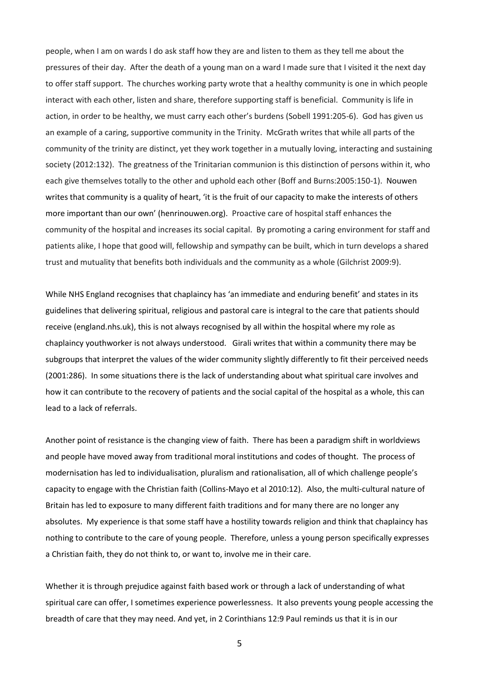people, when I am on wards I do ask staff how they are and listen to them as they tell me about the pressures of their day. After the death of a young man on a ward I made sure that I visited it the next day to offer staff support. The churches working party wrote that a healthy community is one in which people interact with each other, listen and share, therefore supporting staff is beneficial. Community is life in action, in order to be healthy, we must carry each other's burdens (Sobell 1991:205-6). God has given us an example of a caring, supportive community in the Trinity. McGrath writes that while all parts of the community of the trinity are distinct, yet they work together in a mutually loving, interacting and sustaining society (2012:132). The greatness of the Trinitarian communion is this distinction of persons within it, who each give themselves totally to the other and uphold each other (Boff and Burns:2005:150-1). Nouwen writes that community is a quality of heart, 'it is the fruit of our capacity to make the interests of others more important than our own' (henrinouwen.org). Proactive care of hospital staff enhances the community of the hospital and increases its social capital. By promoting a caring environment for staff and patients alike, I hope that good will, fellowship and sympathy can be built, which in turn develops a shared trust and mutuality that benefits both individuals and the community as a whole (Gilchrist 2009:9).

While NHS England recognises that chaplaincy has 'an immediate and enduring benefit' and states in its guidelines that delivering spiritual, religious and pastoral care is integral to the care that patients should receive (england.nhs.uk), this is not always recognised by all within the hospital where my role as chaplaincy youthworker is not always understood. Girali writes that within a community there may be subgroups that interpret the values of the wider community slightly differently to fit their perceived needs (2001:286). In some situations there is the lack of understanding about what spiritual care involves and how it can contribute to the recovery of patients and the social capital of the hospital as a whole, this can lead to a lack of referrals.

Another point of resistance is the changing view of faith. There has been a paradigm shift in worldviews and people have moved away from traditional moral institutions and codes of thought. The process of modernisation has led to individualisation, pluralism and rationalisation, all of which challenge people's capacity to engage with the Christian faith (Collins-Mayo et al 2010:12). Also, the multi-cultural nature of Britain has led to exposure to many different faith traditions and for many there are no longer any absolutes. My experience is that some staff have a hostility towards religion and think that chaplaincy has nothing to contribute to the care of young people. Therefore, unless a young person specifically expresses a Christian faith, they do not think to, or want to, involve me in their care.

Whether it is through prejudice against faith based work or through a lack of understanding of what spiritual care can offer, I sometimes experience powerlessness. It also prevents young people accessing the breadth of care that they may need. And yet, in 2 Corinthians 12:9 Paul reminds us that it is in our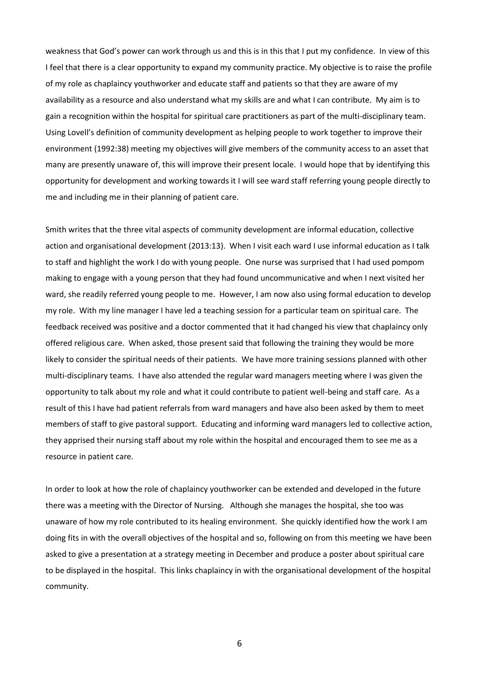weakness that God's power can work through us and this is in this that I put my confidence. In view of this I feel that there is a clear opportunity to expand my community practice. My objective is to raise the profile of my role as chaplaincy youthworker and educate staff and patients so that they are aware of my availability as a resource and also understand what my skills are and what I can contribute. My aim is to gain a recognition within the hospital for spiritual care practitioners as part of the multi-disciplinary team. Using Lovell's definition of community development as helping people to work together to improve their environment (1992:38) meeting my objectives will give members of the community access to an asset that many are presently unaware of, this will improve their present locale. I would hope that by identifying this opportunity for development and working towards it I will see ward staff referring young people directly to me and including me in their planning of patient care.

Smith writes that the three vital aspects of community development are informal education, collective action and organisational development (2013:13). When I visit each ward I use informal education as I talk to staff and highlight the work I do with young people. One nurse was surprised that I had used pompom making to engage with a young person that they had found uncommunicative and when I next visited her ward, she readily referred young people to me. However, I am now also using formal education to develop my role. With my line manager I have led a teaching session for a particular team on spiritual care. The feedback received was positive and a doctor commented that it had changed his view that chaplaincy only offered religious care. When asked, those present said that following the training they would be more likely to consider the spiritual needs of their patients. We have more training sessions planned with other multi-disciplinary teams. I have also attended the regular ward managers meeting where I was given the opportunity to talk about my role and what it could contribute to patient well-being and staff care. As a result of this I have had patient referrals from ward managers and have also been asked by them to meet members of staff to give pastoral support. Educating and informing ward managers led to collective action, they apprised their nursing staff about my role within the hospital and encouraged them to see me as a resource in patient care.

In order to look at how the role of chaplaincy youthworker can be extended and developed in the future there was a meeting with the Director of Nursing. Although she manages the hospital, she too was unaware of how my role contributed to its healing environment. She quickly identified how the work I am doing fits in with the overall objectives of the hospital and so, following on from this meeting we have been asked to give a presentation at a strategy meeting in December and produce a poster about spiritual care to be displayed in the hospital. This links chaplaincy in with the organisational development of the hospital community.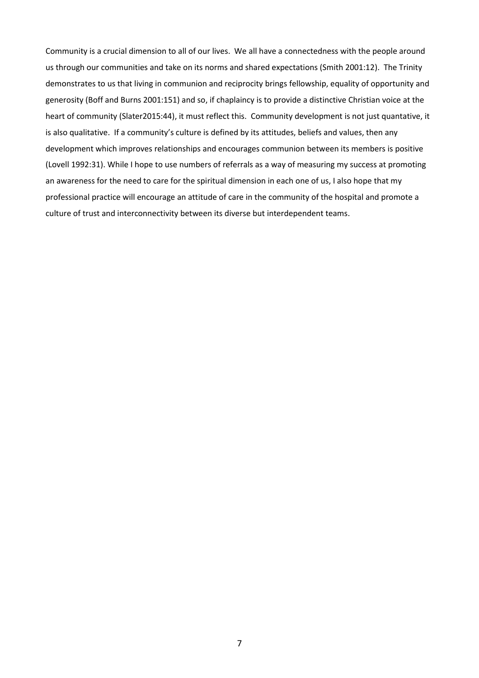Community is a crucial dimension to all of our lives. We all have a connectedness with the people around us through our communities and take on its norms and shared expectations (Smith 2001:12). The Trinity demonstrates to us that living in communion and reciprocity brings fellowship, equality of opportunity and generosity (Boff and Burns 2001:151) and so, if chaplaincy is to provide a distinctive Christian voice at the heart of community (Slater2015:44), it must reflect this. Community development is not just quantative, it is also qualitative. If a community's culture is defined by its attitudes, beliefs and values, then any development which improves relationships and encourages communion between its members is positive (Lovell 1992:31). While I hope to use numbers of referrals as a way of measuring my success at promoting an awareness for the need to care for the spiritual dimension in each one of us, I also hope that my professional practice will encourage an attitude of care in the community of the hospital and promote a culture of trust and interconnectivity between its diverse but interdependent teams.